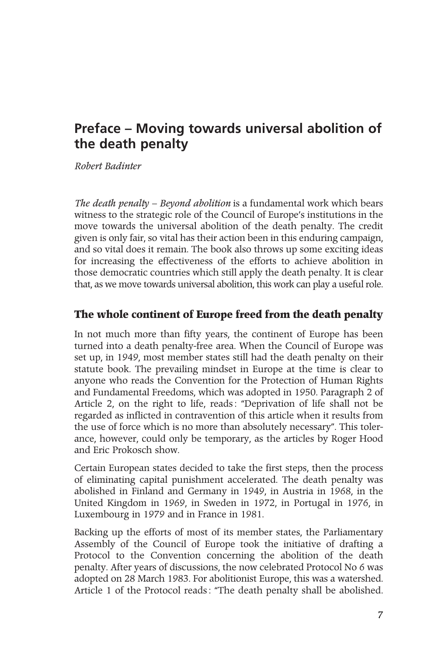## **Preface – Moving towards universal abolition of the death penalty**

*Robert Badinter*

*The death penalty – Beyond abolition* is a fundamental work which bears witness to the strategic role of the Council of Europe's institutions in the move towards the universal abolition of the death penalty. The credit given is only fair, so vital has their action been in this enduring campaign, and so vital does it remain. The book also throws up some exciting ideas for increasing the effectiveness of the efforts to achieve abolition in those democratic countries which still apply the death penalty. It is clear that, as we move towards universal abolition, this work can play a useful role.

## **The whole continent of Europe freed from the death penalty**

In not much more than fifty years, the continent of Europe has been turned into a death penalty-free area. When the Council of Europe was set up, in 1949, most member states still had the death penalty on their statute book. The prevailing mindset in Europe at the time is clear to anyone who reads the Convention for the Protection of Human Rights and Fundamental Freedoms, which was adopted in 1950. Paragraph 2 of Article 2, on the right to life, reads: "Deprivation of life shall not be regarded as inflicted in contravention of this article when it results from the use of force which is no more than absolutely necessary". This tolerance, however, could only be temporary, as the articles by Roger Hood and Eric Prokosch show.

Certain European states decided to take the first steps, then the process of eliminating capital punishment accelerated. The death penalty was abolished in Finland and Germany in 1949, in Austria in 1968, in the United Kingdom in 1969, in Sweden in 1972, in Portugal in 1976, in Luxembourg in 1979 and in France in 1981.

Backing up the efforts of most of its member states, the Parliamentary Assembly of the Council of Europe took the initiative of drafting a Protocol to the Convention concerning the abolition of the death penalty. After years of discussions, the now celebrated Protocol No 6 was adopted on 28 March 1983. For abolitionist Europe, this was a watershed. Article 1 of the Protocol reads: "The death penalty shall be abolished.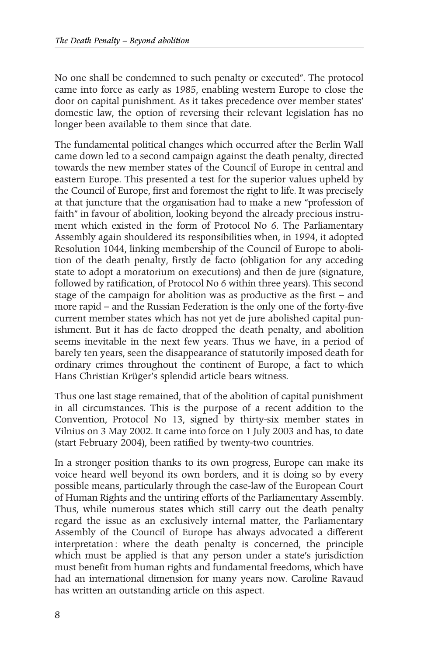No one shall be condemned to such penalty or executed". The protocol came into force as early as 1985, enabling western Europe to close the door on capital punishment. As it takes precedence over member states' domestic law, the option of reversing their relevant legislation has no longer been available to them since that date.

The fundamental political changes which occurred after the Berlin Wall came down led to a second campaign against the death penalty, directed towards the new member states of the Council of Europe in central and eastern Europe. This presented a test for the superior values upheld by the Council of Europe, first and foremost the right to life. It was precisely at that juncture that the organisation had to make a new "profession of faith" in favour of abolition, looking beyond the already precious instrument which existed in the form of Protocol No 6. The Parliamentary Assembly again shouldered its responsibilities when, in 1994, it adopted Resolution 1044, linking membership of the Council of Europe to abolition of the death penalty, firstly de facto (obligation for any acceding state to adopt a moratorium on executions) and then de jure (signature, followed by ratification, of Protocol No 6 within three years). This second stage of the campaign for abolition was as productive as the first – and more rapid – and the Russian Federation is the only one of the forty-five current member states which has not yet de jure abolished capital punishment. But it has de facto dropped the death penalty, and abolition seems inevitable in the next few years. Thus we have, in a period of barely ten years, seen the disappearance of statutorily imposed death for ordinary crimes throughout the continent of Europe, a fact to which Hans Christian Krüger's splendid article bears witness.

Thus one last stage remained, that of the abolition of capital punishment in all circumstances. This is the purpose of a recent addition to the Convention, Protocol No 13, signed by thirty-six member states in Vilnius on 3 May 2002. It came into force on 1 July 2003 and has, to date (start February 2004), been ratified by twenty-two countries.

In a stronger position thanks to its own progress, Europe can make its voice heard well beyond its own borders, and it is doing so by every possible means, particularly through the case-law of the European Court of Human Rights and the untiring efforts of the Parliamentary Assembly. Thus, while numerous states which still carry out the death penalty regard the issue as an exclusively internal matter, the Parliamentary Assembly of the Council of Europe has always advocated a different interpretation: where the death penalty is concerned, the principle which must be applied is that any person under a state's jurisdiction must benefit from human rights and fundamental freedoms, which have had an international dimension for many years now. Caroline Ravaud has written an outstanding article on this aspect.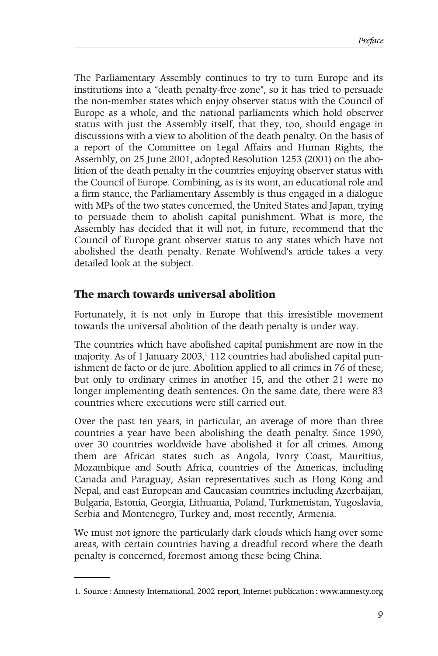The Parliamentary Assembly continues to try to turn Europe and its institutions into a "death penalty-free zone", so it has tried to persuade the non-member states which enjoy observer status with the Council of Europe as a whole, and the national parliaments which hold observer status with just the Assembly itself, that they, too, should engage in discussions with a view to abolition of the death penalty. On the basis of a report of the Committee on Legal Affairs and Human Rights, the Assembly, on 25 June 2001, adopted Resolution 1253 (2001) on the abolition of the death penalty in the countries enjoying observer status with the Council of Europe. Combining, as is its wont, an educational role and a firm stance, the Parliamentary Assembly is thus engaged in a dialogue with MPs of the two states concerned, the United States and Japan, trying to persuade them to abolish capital punishment. What is more, the Assembly has decided that it will not, in future, recommend that the Council of Europe grant observer status to any states which have not abolished the death penalty. Renate Wohlwend's article takes a very detailed look at the subject.

## **The march towards universal abolition**

Fortunately, it is not only in Europe that this irresistible movement towards the universal abolition of the death penalty is under way.

The countries which have abolished capital punishment are now in the majority. As of 1 January 2003, $\frac{1}{1}$  112 countries had abolished capital punishment de facto or de jure. Abolition applied to all crimes in 76 of these, but only to ordinary crimes in another 15, and the other 21 were no longer implementing death sentences. On the same date, there were 83 countries where executions were still carried out.

Over the past ten years, in particular, an average of more than three countries a year have been abolishing the death penalty. Since 1990, over 30 countries worldwide have abolished it for all crimes. Among them are African states such as Angola, Ivory Coast, Mauritius, Mozambique and South Africa, countries of the Americas, including Canada and Paraguay, Asian representatives such as Hong Kong and Nepal, and east European and Caucasian countries including Azerbaijan, Bulgaria, Estonia, Georgia, Lithuania, Poland, Turkmenistan, Yugoslavia, Serbia and Montenegro, Turkey and, most recently, Armenia.

We must not ignore the particularly dark clouds which hang over some areas, with certain countries having a dreadful record where the death penalty is concerned, foremost among these being China.

<sup>1.</sup> Source: Amnesty International, 2002 report, Internet publication: www.amnesty.org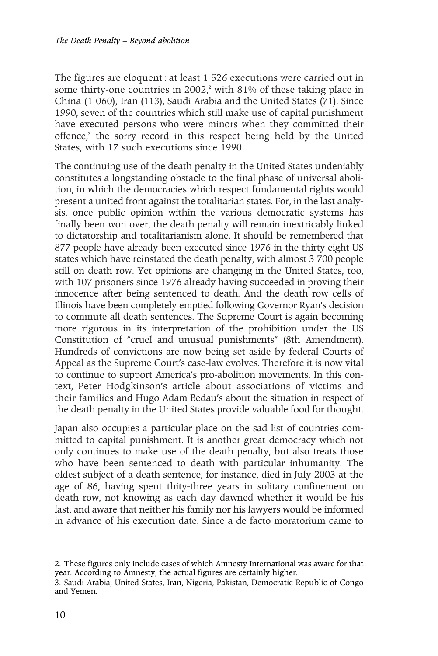The figures are eloquent: at least 1 526 executions were carried out in some thirty-one countries in 2002,<sup>2</sup> with 81% of these taking place in China (1 060), Iran (113), Saudi Arabia and the United States (71). Since 1990, seven of the countries which still make use of capital punishment have executed persons who were minors when they committed their offence,<sup>3</sup> the sorry record in this respect being held by the United States, with 17 such executions since 1990.

The continuing use of the death penalty in the United States undeniably constitutes a longstanding obstacle to the final phase of universal abolition, in which the democracies which respect fundamental rights would present a united front against the totalitarian states. For, in the last analysis, once public opinion within the various democratic systems has finally been won over, the death penalty will remain inextricably linked to dictatorship and totalitarianism alone. It should be remembered that 877 people have already been executed since 1976 in the thirty-eight US states which have reinstated the death penalty, with almost 3 700 people still on death row. Yet opinions are changing in the United States, too, with 107 prisoners since 1976 already having succeeded in proving their innocence after being sentenced to death. And the death row cells of Illinois have been completely emptied following Governor Ryan's decision to commute all death sentences. The Supreme Court is again becoming more rigorous in its interpretation of the prohibition under the US Constitution of "cruel and unusual punishments" (8th Amendment). Hundreds of convictions are now being set aside by federal Courts of Appeal as the Supreme Court's case-law evolves. Therefore it is now vital to continue to support America's pro-abolition movements. In this context, Peter Hodgkinson's article about associations of victims and their families and Hugo Adam Bedau's about the situation in respect of the death penalty in the United States provide valuable food for thought.

Japan also occupies a particular place on the sad list of countries committed to capital punishment. It is another great democracy which not only continues to make use of the death penalty, but also treats those who have been sentenced to death with particular inhumanity. The oldest subject of a death sentence, for instance, died in July 2003 at the age of 86, having spent thity-three years in solitary confinement on death row, not knowing as each day dawned whether it would be his last, and aware that neither his family nor his lawyers would be informed in advance of his execution date. Since a de facto moratorium came to

<sup>2.</sup> These figures only include cases of which Amnesty International was aware for that year. According to Amnesty, the actual figures are certainly higher.

<sup>3.</sup> Saudi Arabia, United States, Iran, Nigeria, Pakistan, Democratic Republic of Congo and Yemen.